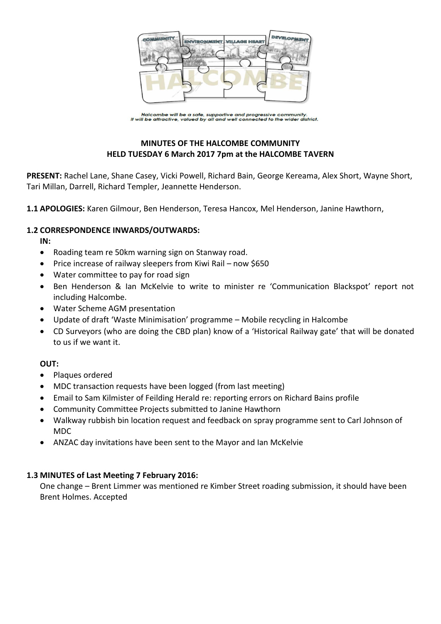

Halcombe will be a safe, supportive and progressive community.<br>It will be attractive, valued by all and well connected to the wider district.

# **MINUTES OF THE HALCOMBE COMMUNITY HELD TUESDAY 6 March 2017 7pm at the HALCOMBE TAVERN**

**PRESENT:** Rachel Lane, Shane Casey, Vicki Powell, Richard Bain, George Kereama, Alex Short, Wayne Short, Tari Millan, Darrell, Richard Templer, Jeannette Henderson.

**1.1 APOLOGIES:** Karen Gilmour, Ben Henderson, Teresa Hancox, Mel Henderson, Janine Hawthorn,

## **1.2 CORRESPONDENCE INWARDS/OUTWARDS:**

**IN:** 

- Roading team re 50km warning sign on Stanway road.
- Price increase of railway sleepers from Kiwi Rail now \$650
- Water committee to pay for road sign
- Ben Henderson & Ian McKelvie to write to minister re 'Communication Blackspot' report not including Halcombe.
- Water Scheme AGM presentation
- Update of draft 'Waste Minimisation' programme Mobile recycling in Halcombe
- CD Surveyors (who are doing the CBD plan) know of a 'Historical Railway gate' that will be donated to us if we want it.

## **OUT:**

- Plaques ordered
- MDC transaction requests have been logged (from last meeting)
- Email to Sam Kilmister of Feilding Herald re: reporting errors on Richard Bains profile
- Community Committee Projects submitted to Janine Hawthorn
- Walkway rubbish bin location request and feedback on spray programme sent to Carl Johnson of MDC
- ANZAC day invitations have been sent to the Mayor and Ian McKelvie

## **1.3 MINUTES of Last Meeting 7 February 2016:**

One change – Brent Limmer was mentioned re Kimber Street roading submission, it should have been Brent Holmes. Accepted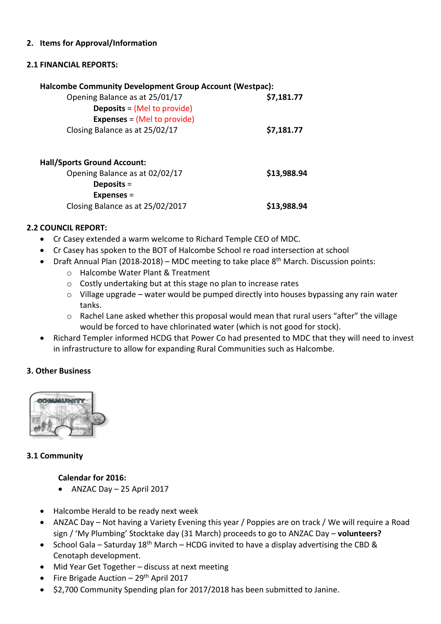## **2. Items for Approval/Information**

## **2.1 FINANCIAL REPORTS:**

|            | <b>Halcombe Community Development Group Account (Westpac):</b> |
|------------|----------------------------------------------------------------|
| \$7,181.77 | Opening Balance as at 25/01/17                                 |
|            | <b>Deposits = (Mel to provide)</b>                             |
|            | <b>Expenses = (Mel to provide)</b>                             |
| \$7,181.77 | Closing Balance as at 25/02/17                                 |
|            |                                                                |
|            |                                                                |

| <b>Hall/Sports Ground Account:</b> |             |
|------------------------------------|-------------|
| Opening Balance as at 02/02/17     | \$13,988.94 |
| Deposits $=$                       |             |
| $Expenses =$                       |             |
| Closing Balance as at 25/02/2017   | \$13,988.94 |

## **2.2 COUNCIL REPORT:**

- Cr Casey extended a warm welcome to Richard Temple CEO of MDC.
- Cr Casey has spoken to the BOT of Halcombe School re road intersection at school
- Draft Annual Plan (2018-2018) MDC meeting to take place 8<sup>th</sup> March. Discussion points:
	- o Halcombe Water Plant & Treatment
	- o Costly undertaking but at this stage no plan to increase rates
	- $\circ$  Village upgrade water would be pumped directly into houses bypassing any rain water tanks.
	- o Rachel Lane asked whether this proposal would mean that rural users "after" the village would be forced to have chlorinated water (which is not good for stock).
- Richard Templer informed HCDG that Power Co had presented to MDC that they will need to invest in infrastructure to allow for expanding Rural Communities such as Halcombe.

## **3. Other Business**



## **3.1 Community**

## **Calendar for 2016:**

- $\bullet$  ANZAC Day  $-$  25 April 2017
- Halcombe Herald to be ready next week
- ANZAC Day Not having a Variety Evening this year / Poppies are on track / We will require a Road sign / 'My Plumbing' Stocktake day (31 March) proceeds to go to ANZAC Day – **volunteers?**
- School Gala Saturday  $18<sup>th</sup>$  March HCDG invited to have a display advertising the CBD & Cenotaph development.
- Mid Year Get Together discuss at next meeting
- Fire Brigade Auction  $-29<sup>th</sup>$  April 2017
- \$2,700 Community Spending plan for 2017/2018 has been submitted to Janine.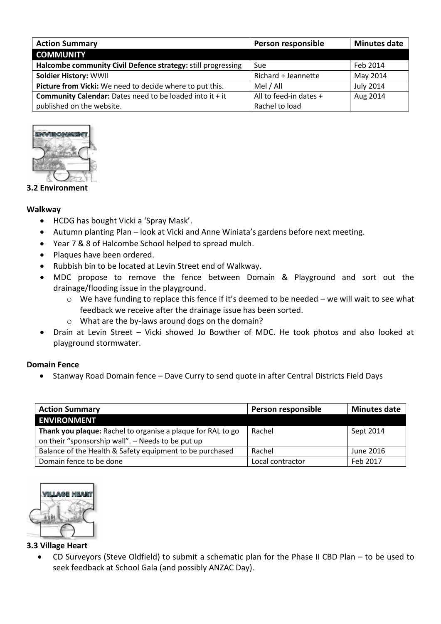| <b>Action Summary</b>                                           | Person responsible     | <b>Minutes date</b> |
|-----------------------------------------------------------------|------------------------|---------------------|
| <b>COMMUNITY</b>                                                |                        |                     |
| Halcombe community Civil Defence strategy: still progressing    | Sue                    | Feb 2014            |
| <b>Soldier History: WWII</b>                                    | Richard + Jeannette    | May 2014            |
| Picture from Vicki: We need to decide where to put this.        | Mel / All              | <b>July 2014</b>    |
| <b>Community Calendar:</b> Dates need to be loaded into it + it | All to feed-in dates + | Aug 2014            |
| published on the website.                                       | Rachel to load         |                     |



## **3.2 Environment**

## **Walkway**

- HCDG has bought Vicki a 'Spray Mask'.
- Autumn planting Plan look at Vicki and Anne Winiata's gardens before next meeting.
- Year 7 & 8 of Halcombe School helped to spread mulch.
- Plaques have been ordered.
- Rubbish bin to be located at Levin Street end of Walkway.
- MDC propose to remove the fence between Domain & Playground and sort out the drainage/flooding issue in the playground.
	- $\circ$  We have funding to replace this fence if it's deemed to be needed we will wait to see what feedback we receive after the drainage issue has been sorted.
	- o What are the by-laws around dogs on the domain?
- Drain at Levin Street Vicki showed Jo Bowther of MDC. He took photos and also looked at playground stormwater.

## **Domain Fence**

Stanway Road Domain fence – Dave Curry to send quote in after Central Districts Field Days

| <b>Action Summary</b>                                       | Person responsible | <b>Minutes date</b> |
|-------------------------------------------------------------|--------------------|---------------------|
| <b>ENVIRONMENT</b>                                          |                    |                     |
| Thank you plaque: Rachel to organise a plaque for RAL to go | Rachel             | Sept 2014           |
| on their "sponsorship wall". - Needs to be put up           |                    |                     |
| Balance of the Health & Safety equipment to be purchased    | Rachel             | June 2016           |
| Domain fence to be done                                     | Local contractor   | Feb 2017            |



## **3.3 Village Heart**

 CD Surveyors (Steve Oldfield) to submit a schematic plan for the Phase II CBD Plan – to be used to seek feedback at School Gala (and possibly ANZAC Day).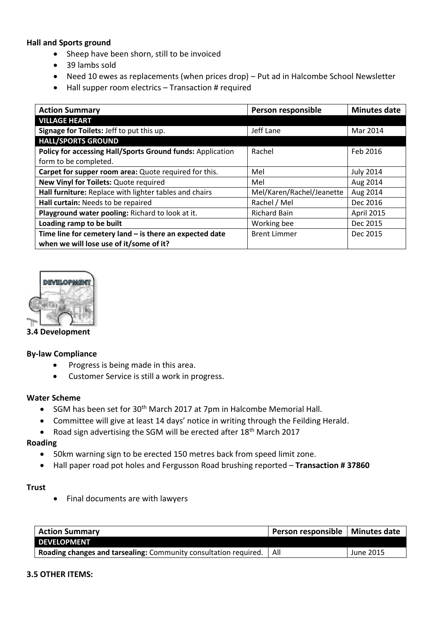## **Hall and Sports ground**

- Sheep have been shorn, still to be invoiced
- 39 lambs sold
- Need 10 ewes as replacements (when prices drop) Put ad in Halcombe School Newsletter
- Hall supper room electrics Transaction # required

| <b>Action Summary</b>                                      | Person responsible        | <b>Minutes date</b> |
|------------------------------------------------------------|---------------------------|---------------------|
| <b>VILLAGE HEART</b>                                       |                           |                     |
| Signage for Toilets: Jeff to put this up.                  | Jeff Lane                 | Mar 2014            |
| <b>HALL/SPORTS GROUND</b>                                  |                           |                     |
| Policy for accessing Hall/Sports Ground funds: Application | Rachel                    | Feb 2016            |
| form to be completed.                                      |                           |                     |
| Carpet for supper room area: Quote required for this.      | Mel                       | <b>July 2014</b>    |
| New Vinyl for Toilets: Quote required                      | Mel                       | Aug 2014            |
| Hall furniture: Replace with lighter tables and chairs     | Mel/Karen/Rachel/Jeanette | Aug 2014            |
| Hall curtain: Needs to be repaired                         | Rachel / Mel              | Dec 2016            |
| Playground water pooling: Richard to look at it.           | <b>Richard Bain</b>       | April 2015          |
| Loading ramp to be built                                   | Working bee               | Dec 2015            |
| Time line for cemetery land $-$ is there an expected date  | <b>Brent Limmer</b>       | Dec 2015            |
| when we will lose use of it/some of it?                    |                           |                     |



**3.4 Development**

## **By-law Compliance**

- Progress is being made in this area.
- Customer Service is still a work in progress.

#### **Water Scheme**

- SGM has been set for 30<sup>th</sup> March 2017 at 7pm in Halcombe Memorial Hall.
- Committee will give at least 14 days' notice in writing through the Feilding Herald.
- Road sign advertising the SGM will be erected after 18<sup>th</sup> March 2017

#### **Roading**

- 50km warning sign to be erected 150 metres back from speed limit zone.
- Hall paper road pot holes and Fergusson Road brushing reported **Transaction # 37860**

#### **Trust**

Final documents are with lawyers

| <b>Action Summary</b>                                            | Person responsible   Minutes date |           |
|------------------------------------------------------------------|-----------------------------------|-----------|
| <b>DEVELOPMENT</b>                                               |                                   |           |
| Roading changes and tarsealing: Community consultation required. | All                               | June 2015 |

#### **3.5 OTHER ITEMS:**